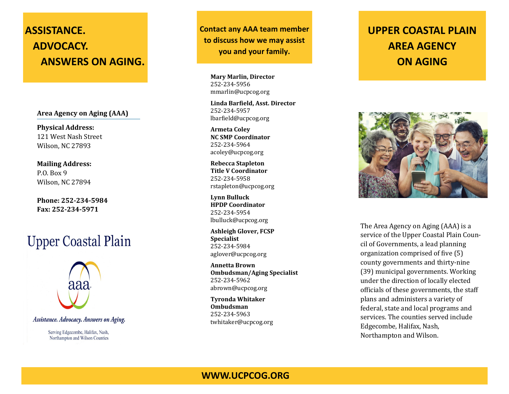## **ASSISTANCE. ADVOCACY. ANSWERS ON AGING.**

**Area Agency on Aging (AAA)**

**Physical Address:** 121 West Nash Street Wilson, NC 27893

**Mailing Address:** P.O. Box 9 Wilson, NC 27894

**Phone: 252-234-5984 Fax: 252-234-5971**

# **Upper Coastal Plain**



Assistance. Advocacy. Answers on Aging.

Serving Edgecombe, Halifax, Nash, Northampton and Wilson Counties

**Contact any AAA team member to discuss how we may assist you and your family.**

> **Mary Marlin, Director** 252-234-5956 mmarlin@ucpcog.org

**Linda Barfield, Asst. Director** 252-234-5957 lbarfield@ucpcog.org

**Armeta Coley NC SMP Coordinator** 252-234-5964 acoley@ucpcog.org

**Rebecca Stapleton Title V Coordinator** 252-234-5958 rstapleton@ucpcog.org

**Lynn Bulluck HPDP Coordinator** 252-234-5954 lbulluck@ucpcog.org

**Ashleigh Glover, FCSP Specialist** 252-234-5984 aglover@ucpcog.org

**Annetta Brown Ombudsman/Aging Specialist** 252-234-5962 abrown@ucpcog.org

**Tyronda Whitaker Ombudsman** 252-234-5963 twhitaker@ucpcog.org

## **UPPER COASTAL PLAIN AREA AGENCY ON AGING**



The Area Agency on Aging (AAA) is a service of the Upper Coastal Plain Council of Governments, a lead planning organization comprised of five (5) county governments and thirty-nine (39) municipal governments. Working under the direction of locally elected officials of these governments, the staff plans and administers a variety of federal, state and local programs and services. The counties served include Edgecombe, Halifax, Nash, Northampton and Wilson.

#### **WWW.UCPCOG.ORG**